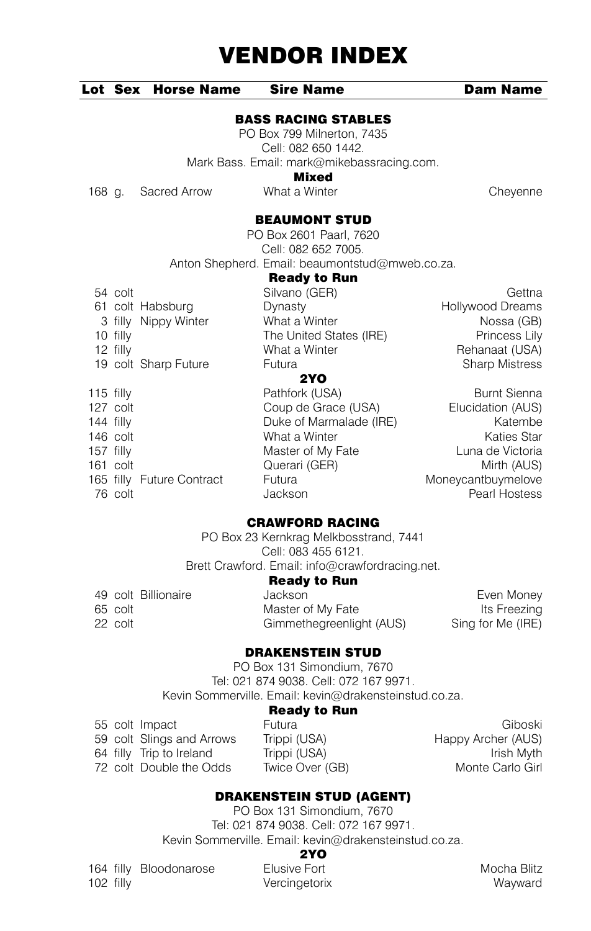#### Lot Sex Horse Name Sire Name Dam Name

BASS RACING STABLES

PO Box 799 Milnerton, 7435 Cell: 082 650 1442. Mark Bass. Email: mark@mikebassracing.com.

**Mixed**<br>What a Winter

168 g. Sacred Arrow What a Winter Cheyenne

#### BEAUMONT STUD

PO Box 2601 Paarl, 7620 Cell: 082 652 7005. Anton Shepherd. Email: beaumontstud@mweb.co.za.

#### Ready to Run

|             |            |                           | neady to nun            |                       |
|-------------|------------|---------------------------|-------------------------|-----------------------|
|             | 54 colt    |                           | Silvano (GER)           | Gettna                |
|             |            | 61 colt Habsburg          | Dynasty                 | Hollywood Dreams      |
|             |            | 3 filly Nippy Winter      | What a Winter           | Nossa (GB)            |
|             | 10 filly   |                           | The United States (IRE) | Princess Lily         |
|             | 12 filly   |                           | What a Winter           | Rehanaat (USA)        |
|             |            | 19 colt Sharp Future      | Futura                  | <b>Sharp Mistress</b> |
|             |            |                           | <b>2YO</b>              |                       |
| $115$ filly |            |                           | Pathfork (USA)          | <b>Burnt Sienna</b>   |
|             | 127 colt   |                           | Coup de Grace (USA)     | Elucidation (AUS)     |
| 144 filly   |            |                           | Duke of Marmalade (IRE) | Katembe               |
|             | 146 colt   |                           | What a Winter           | <b>Katies Star</b>    |
| 157 filly   |            |                           | Master of My Fate       | Luna de Victoria      |
|             | $161$ colt |                           | Querari (GER)           | Mirth (AUS)           |
|             |            | 165 filly Future Contract | Futura                  | Moneycantbuymelove    |

# CRAWFORD RACING

1990 colt and the collection of the collection of the collection of the collection of the collection of the collection of the collection of the collection of the collection of the collection of the collection of the collec

PO Box 23 Kernkrag Melkbosstrand, 7441 Cell: 083 455 6121. Brett Crawford. Email: info@crawfordracing.net.

#### Ready to Run

|         | 49 colt Billionaire | Jackson                  | Even Money        |
|---------|---------------------|--------------------------|-------------------|
| 65 colt |                     | Master of My Fate        | Its Freezing      |
| 22 colt |                     | Gimmethegreenlight (AUS) | Sing for Me (IRE) |

### DRAKENSTEIN STUD

PO Box 131 Simondium, 7670 Tel: 021 874 9038. Cell: 072 167 9971. Kevin Sommerville. Email: kevin@drakensteinstud.co.za.

#### Ready to Run

|  | 55 colt Impact            | Futura          | Giboski            |
|--|---------------------------|-----------------|--------------------|
|  | 59 colt Slings and Arrows | Trippi (USA)    | Happy Archer (AUS) |
|  | 64 filly Trip to Ireland  | Trippi (USA)    | Irish Mvth         |
|  | 72 colt Double the Odds   | Twice Over (GB) | Monte Carlo Girl   |

## DRAKENSTEIN STUD (AGENT)

PO Box 131 Simondium, 7670 Tel: 021 874 9038. Cell: 072 167 9971. Kevin Sommerville. Email: kevin@drakensteinstud.co.za.

#### 2YO

164 filly Bloodonarose Elusive Fort **Example 2018** Mocha Blitz 102 filly Vercingetorix Wayward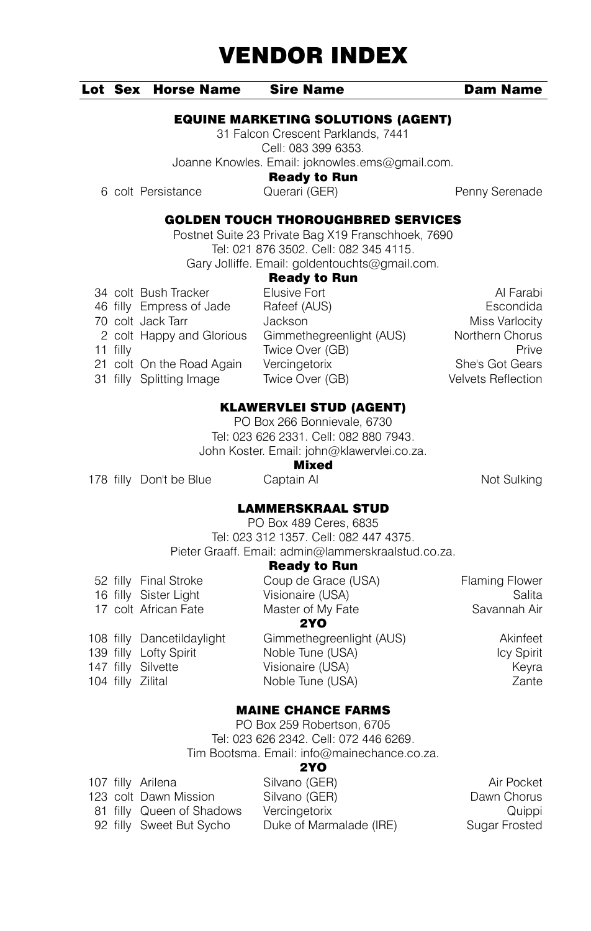#### Lot Sex Horse Name Sire Name Dam Name

### EQUINE MARKETING SOLUTIONS (AGENT)

31 Falcon Crescent Parklands, 7441 Cell: 083 399 6353. Joanne Knowles. Email: joknowles.ems@gmail.com.

Ready to Run

6 colt Persistance Querari (GER) Penny Serenade

# GOLDEN TOUCH THOROUGHBRED SERVICES

Postnet Suite 23 Private Bag X19 Franschhoek, 7690 Tel: 021 876 3502. Cell: 082 345 4115. Gary Jolliffe. Email: goldentouchts@gmail.com.

|          | 34 colt Bush Tracker      | Elusive Fort             | Al Farabi          |
|----------|---------------------------|--------------------------|--------------------|
|          | 46 filly Empress of Jade  | Rafeef (AUS)             | Escondida          |
|          | 70 colt Jack Tarr         | Jackson                  | Miss Varlocity     |
|          | 2 colt Happy and Glorious | Gimmethegreenlight (AUS) | Northern Chorus    |
| 11 filly |                           | Twice Over (GB)          | Prive              |
|          | 21 colt On the Road Again | Vercingetorix            | She's Got Gears    |
|          | 31 filly Splitting Image  | Twice Over (GB)          | Velvets Reflection |

**Ready to Run**<br>Elusive Fort **70 colleges and Tarr Jackson** Miss Varlocity immethegreenlight (AUS) Northern Chorus<br>vice Over (GB) Prive vice Over (GB) ercingetorix **Collection Contract Contract Contract Contract Contract Contract Contract Contract Contract Contract Contract Contract Contract Contract Contract Contract Contract Contract Contract Contract Contract Contract** 

# KLAWERVLEI STUD (AGENT)

PO Box 266 Bonnievale, 6730 Tel: 023 626 2331. Cell: 082 880 7943. John Koster. Email: john@klawervlei.co.za.

# **Mixed**<br>Captain Al

178 filly Don't be Blue Captain Al Not Sulking

### LAMMERSKRAAL STUD

PO Box 489 Ceres, 6835 Tel: 023 312 1357. Cell: 082 447 4375. Pieter Graaff. Email: admin@lammerskraalstud.co.za.

# Ready to Run

|  | 52 filly Final Stroke      | Coup de Grace (USA)      | <b>Flaming Flower</b> |
|--|----------------------------|--------------------------|-----------------------|
|  | 16 filly Sister Light      | Visionaire (USA)         | Salita                |
|  | 17 colt African Fate       | Master of My Fate        | Savannah Air          |
|  |                            | 2YO                      |                       |
|  | 108 filly Dancetildaylight | Gimmethegreenlight (AUS) | Akinfeet              |
|  | 139 filly Lofty Spirit     | Noble Tune (USA)         | <b>Icy Spirit</b>     |
|  | 147 filly Silvette         | Visionaire (USA)         | Keyra                 |
|  | 104 filly Zilital          | Noble Tune (USA)         | Zante                 |

### MAINE CHANCE FARMS

PO Box 259 Robertson, 6705 Tel: 023 626 2342. Cell: 072 446 6269. Tim Bootsma. Email: info@mainechance.co.za.

#### 2YO

|  | 107 filly Arilena         | Silvano (GER)           | Air Pocket    |
|--|---------------------------|-------------------------|---------------|
|  | 123 colt Dawn Mission     | Silvano (GER)           | Dawn Chorus   |
|  | 81 filly Queen of Shadows | Vercingetorix           | Quippi        |
|  | 92 filly Sweet But Sycho  | Duke of Marmalade (IRE) | Sugar Frosted |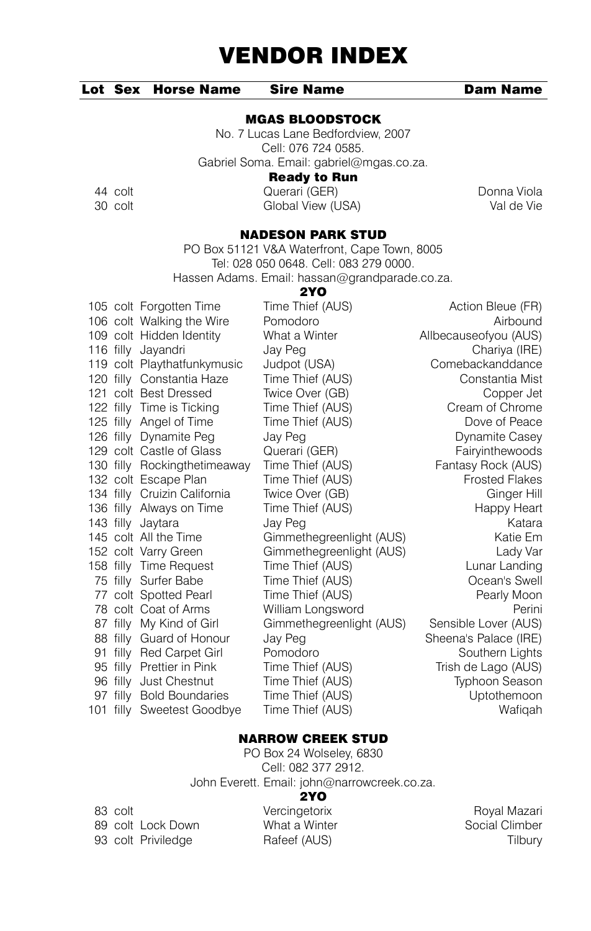# Lot Sex Horse Name Sire Name Dam Name

#### MGAS BLOODSTOCK

No. 7 Lucas Lane Bedfordview, 2007 Cell: 076 724 0585. Gabriel Soma. Email: gabriel@mgas.co.za.

Ready to Run

44 colt Querari (GER) Donna Viola Global View (USA)

#### NADESON PARK STUD

PO Box 51121 V&A Waterfront, Cape Town, 8005 Tel: 028 050 0648. Cell: 083 279 0000. Hassen Adams. Email: hassan@grandparade.co.za.

 $2Y<sub>O</sub>$ 

|  | 105 colt Forgotten Time      | Time Thief (AUS)         | Action Bleue (FR)     |
|--|------------------------------|--------------------------|-----------------------|
|  | 106 colt Walking the Wire    | Pomodoro                 | Airbound              |
|  | 109 colt Hidden Identity     | What a Winter            | Allbecauseofyou (AUS) |
|  | 116 filly Jayandri           | Jay Peg                  | Chariya (IRE)         |
|  | 119 colt Playthatfunkymusic  | Judpot (USA)             | Comebackanddance      |
|  | 120 filly Constantia Haze    | Time Thief (AUS)         | Constantia Mist       |
|  | 121 colt Best Dressed        | Twice Over (GB)          | Copper Jet            |
|  | 122 filly Time is Ticking    | Time Thief (AUS)         | Cream of Chrome       |
|  | 125 filly Angel of Time      | Time Thief (AUS)         | Dove of Peace         |
|  | 126 filly Dynamite Peg       | Jay Peg                  | Dynamite Casey        |
|  | 129 colt Castle of Glass     | Querari (GER)            | Fairyinthewoods       |
|  | 130 filly Rockingthetimeaway | Time Thief (AUS)         | Fantasy Rock (AUS)    |
|  | 132 colt Escape Plan         | Time Thief (AUS)         | <b>Frosted Flakes</b> |
|  | 134 filly Cruizin California | Twice Over (GB)          | Ginger Hill           |
|  | 136 filly Always on Time     | Time Thief (AUS)         | Happy Heart           |
|  | 143 filly Jaytara            | Jay Peg                  | Katara                |
|  | 145 colt All the Time        | Gimmethegreenlight (AUS) | Katie Em              |
|  | 152 colt Varry Green         | Gimmethegreenlight (AUS) | Lady Var              |
|  | 158 filly Time Request       | Time Thief (AUS)         | Lunar Landing         |
|  | 75 filly Surfer Babe         | Time Thief (AUS)         | Ocean's Swell         |
|  | 77 colt Spotted Pearl        | Time Thief (AUS)         | Pearly Moon           |
|  | 78 colt Coat of Arms         | William Longsword        | Perini                |
|  | 87 filly My Kind of Girl     | Gimmethegreenlight (AUS) | Sensible Lover (AUS)  |
|  | 88 filly Guard of Honour     | Jay Peg                  | Sheena's Palace (IRE) |
|  | 91 filly Red Carpet Girl     | Pomodoro                 | Southern Lights       |
|  | 95 filly Prettier in Pink    | Time Thief (AUS)         | Trish de Lago (AUS)   |
|  | 96 filly Just Chestnut       | Time Thief (AUS)         | Typhoon Season        |
|  | 97 filly Bold Boundaries     | Time Thief (AUS)         | Uptothemoon           |
|  | 101 filly Sweetest Goodbye   | Time Thief (AUS)         | Wafigah               |

## NARROW CREEK STUD

PO Box 24 Wolseley, 6830 Cell: 082 377 2912. John Everett. Email: john@narrowcreek.co.za.

#### 2YO

| 83 colt |                    |
|---------|--------------------|
|         | 89 colt Lock Down  |
|         | 93 colt Priviledge |

Vercingetorix **Royal Mazari** 

What a Winter **Social Climber** Social Climber Partner (AUS) Tilbury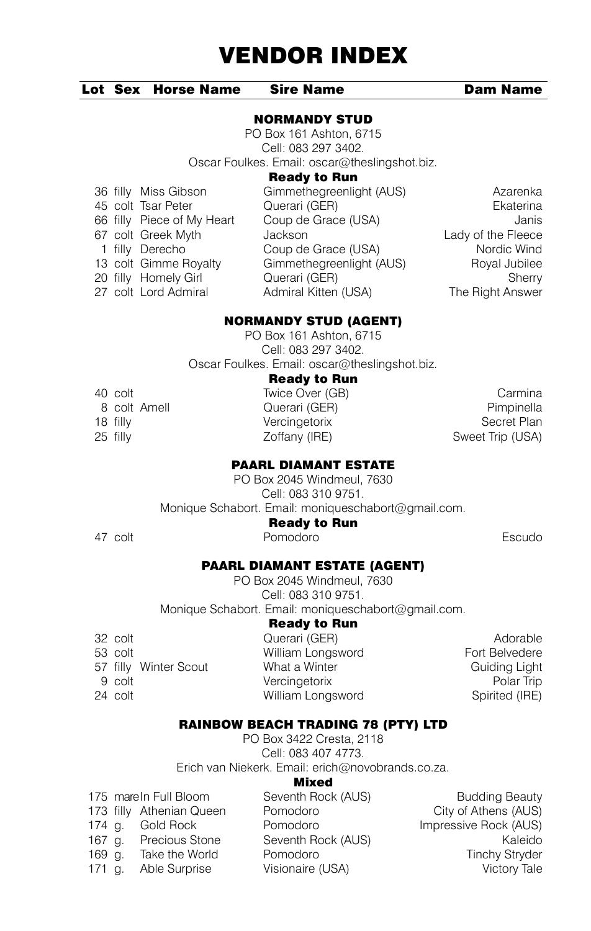# Lot Sex Horse Name Sire Name Dam Name

#### NORMANDY STUD

PO Box 161 Ashton, 6715 Cell: 083 297 3402. Oscar Foulkes. Email: oscar@theslingshot.biz.

### Ready to Run

1 filly Derecho Coup de Grace (USA)<br>13 colt Gimme Royalty Gimmethegreenlight (A

36 filly Miss Gibson Gimmethegreenlight (AUS) Azarenka 45 colt Tsar Peter **Querari (GER)**<br>1956 filly Piece of My Heart Coup de Grace (USA) Company and Supplement Coup de Grace (USA) 66 filly Piece of My Heart Coup de Grace (USA) danis<br>67 colt Greek Myth Jackson Jackson Lady of the Fleece 67 colt Greek Myth Jackson Lady of the Fleece<br>
1 filly Derecho Coup de Grace (USA) Nordic Wind Gimmethegreenlight (AUS) Royal Jubilee<br>13 Cuerari (GER) Royal Jubilee 20 filly Homely Girl **Cuerari (GER)** Sherry Sherry Sherry Sherry Sherry Sherry Sherry Sherry Sherry Sherry Sherry Sherry Sherry Sherry Sherry Sherry Sherry Sherry Sherry Sherry Sherry Sherry Sherry Sherry Sherry Sherry She Admiral Kitten (USA)

## NORMANDY STUD (AGENT)

PO Box 161 Ashton, 6715 Cell: 083 297 3402. Oscar Foulkes. Email: oscar@theslingshot.biz.

#### Ready to Run

| 40 colt      | Twice Over (GB) | Carmina          |
|--------------|-----------------|------------------|
| 8 colt Amell | Querari (GER)   | Pimpinella       |
| 18 filly     | Vercingetorix   | Secret Plan      |
| 25 filly     | Zoffany (IRE)   | Sweet Trip (USA) |
|              |                 |                  |

# PAARL DIAMANT ESTATE

PO Box 2045 Windmeul, 7630 Cell: 083 310 9751. Monique Schabort. Email: moniqueschabort@gmail.com.

#### Ready to Run

47 colt Pomodoro Escudo

# PAARL DIAMANT ESTATE (AGENT)

PO Box 2045 Windmeul, 7630 Cell: 083 310 9751. Monique Schabort. Email: moniqueschabort@gmail.com.

#### Ready to Run

| 32 colt               | Querari (GER)     | Adorable       |
|-----------------------|-------------------|----------------|
| 53 colt               | William Longsword | Fort Belvedere |
| 57 filly Winter Scout | What a Winter     | Guiding Light  |
| 9 colt                | Vercingetorix     | Polar Trip     |
| 24 colt               | William Longsword | Spirited (IRE) |
|                       |                   |                |

#### RAINBOW BEACH TRADING 78 (PTY) LTD

PO Box 3422 Cresta, 2118 Cell: 083 407 4773. Erich van Niekerk. Email: erich@novobrands.co.za.

#### Mixed

|          | 175 mare In Full Bloom   | Seventh Rock (AUS) | <b>Budding Beauty</b> |
|----------|--------------------------|--------------------|-----------------------|
|          | 173 filly Athenian Queen | Pomodoro           | City of Athens (AUS)  |
| 174 a.   | Gold Rock                | Pomodoro           | Impressive Rock (AUS) |
| 167 a.   | <b>Precious Stone</b>    | Seventh Rock (AUS) | Kaleido               |
| $169$ g. | Take the World           | Pomodoro           | <b>Tinchy Stryder</b> |
| $171$ a. | Able Surprise            | Visionaire (USA)   | Victory Tale          |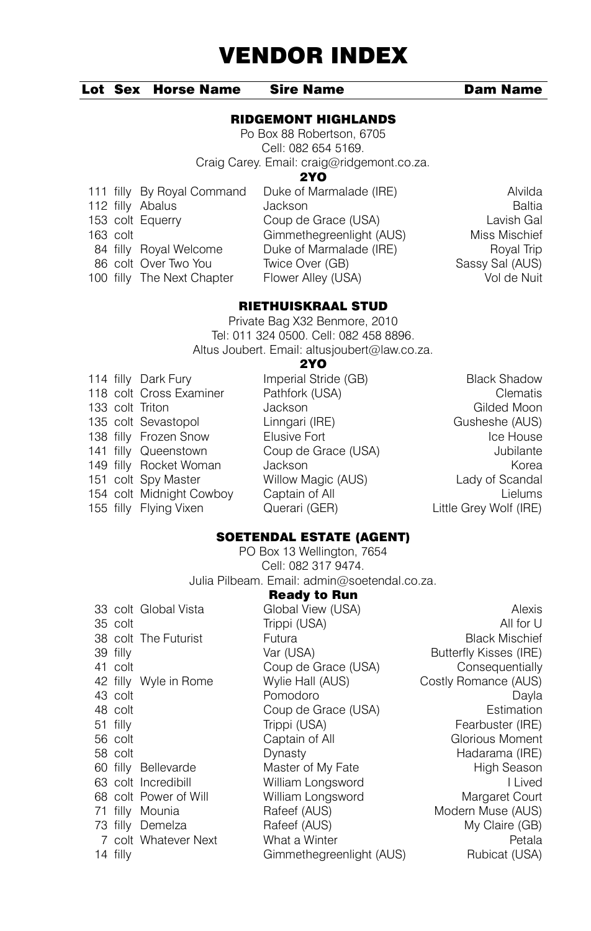### Lot Sex Horse Name Sire Name Dam Name

#### RIDGEMONT HIGHLANDS

Po Box 88 Robertson, 6705 Cell: 082 654 5169. Craig Carey. Email: craig@ridgemont.co.za.

#### 2YO

|            | 111 filly By Royal Command | Duke of Marmalade (IRE)  | Alvilda         |
|------------|----------------------------|--------------------------|-----------------|
|            | 112 filly Abalus           | Jackson                  | Baltia          |
|            | 153 colt Equerry           | Coup de Grace (USA)      | Lavish Gal      |
| $163$ colt |                            | Gimmethegreenlight (AUS) | Miss Mischief   |
|            | 84 filly Royal Welcome     | Duke of Marmalade (IRE)  | Royal Trip      |
|            | 86 colt Over Two You       | Twice Over (GB)          | Sassy Sal (AUS) |
|            | 100 filly The Next Chapter | Flower Alley (USA)       | Vol de Nuit     |

# RIETHUISKRAAL STUD

Private Bag X32 Benmore, 2010 Tel: 011 324 0500. Cell: 082 458 8896. Altus Joubert. Email: altusjoubert@law.co.za.

#### 2YO

|  | 114 filly Dark Fury      | Imperial Stride (GB) | <b>Black Shadow</b>    |
|--|--------------------------|----------------------|------------------------|
|  | 118 colt Cross Examiner  | Pathfork (USA)       | Clematis               |
|  | 133 colt Triton          | Jackson              | Gilded Moon            |
|  | 135 colt Sevastopol      | Linngari (IRE)       | Gusheshe (AUS)         |
|  | 138 filly Frozen Snow    | Elusive Fort         | Ice House              |
|  | 141 filly Queenstown     | Coup de Grace (USA)  | Jubilante              |
|  | 149 filly Rocket Woman   | Jackson              | Korea                  |
|  | 151 colt Spy Master      | Willow Magic (AUS)   | Lady of Scandal        |
|  | 154 colt Midnight Cowboy | Captain of All       | Lielums                |
|  | 155 filly Flying Vixen   | Querari (GER)        | Little Grey Wolf (IRE) |
|  |                          |                      |                        |

## SOETENDAL ESTATE (AGENT)

PO Box 13 Wellington, 7654 Cell: 082 317 9474. Julia Pilbeam. Email: admin@soetendal.co.za.

|            |                       | <b>Ready to Run</b>      |                        |
|------------|-----------------------|--------------------------|------------------------|
|            | 33 colt Global Vista  | Global View (USA)        | Alexis                 |
| 35 colt    |                       | Trippi (USA)             | All for U              |
|            | 38 colt The Futurist  | Futura                   | <b>Black Mischief</b>  |
| 39 filly   |                       | Var (USA)                | Butterfly Kisses (IRE) |
| 41 colt    |                       | Coup de Grace (USA)      | Consequentially        |
|            | 42 filly Wyle in Rome | Wylie Hall (AUS)         | Costly Romance (AUS)   |
| 43 colt    |                       | Pomodoro                 | Dayla                  |
| 48 colt    |                       | Coup de Grace (USA)      | Estimation             |
| 51 filly   |                       | Trippi (USA)             | Fearbuster (IRE)       |
| 56 colt    |                       | Captain of All           | Glorious Moment        |
| 58 colt    |                       | Dynasty                  | Hadarama (IRE)         |
|            | 60 filly Bellevarde   | Master of My Fate        | High Season            |
|            | 63 colt Incredibill   | William Longsword        | I Lived                |
|            | 68 colt Power of Will | William Longsword        | Margaret Court         |
|            | 71 filly Mounia       | Rafeef (AUS)             | Modern Muse (AUS)      |
|            | 73 filly Demelza      | Rafeef (AUS)             | My Claire (GB)         |
|            | 7 colt Whatever Next  | What a Winter            | Petala                 |
| $14$ filly |                       | Gimmethegreenlight (AUS) | Rubicat (USA)          |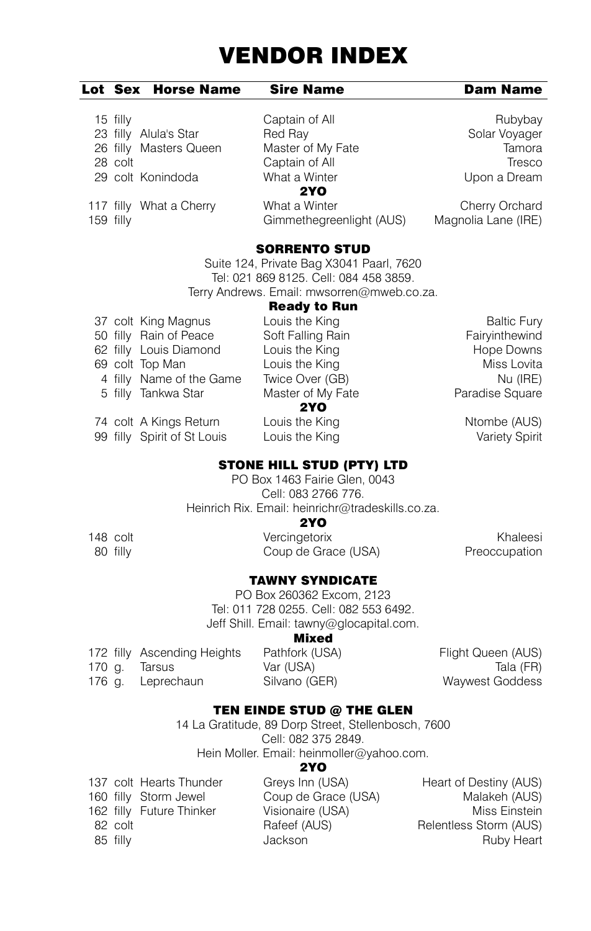### Lot Sex Horse Name Sire Name Dam Name

# 15 filly **Captain of All Rubybay** Rubybay 23 filly Alula's Star **Red Ray Solar Voyager Red Ray Solar Voyager** Solar Voyager 26 filly Master of Master of Mv Fate 26 filly Masters Queen 28 colt Captain of All Tresco 29 colt Konindoda What a Winter Upon a Dream

**2YO**<br>What a Winter

117 filly What a Cherry What a Winter Cherry Orchard 159 filly Gimmethegreenlight (AUS) Magnolia Lane (IRE)

# SORRENTO STUD

Suite 124, Private Bag X3041 Paarl, 7620 Tel: 021 869 8125. Cell: 084 458 3859. Terry Andrews. Email: mwsorren@mweb.co.za.

# Ready to Run

|  | 37 colt King Magnus      | Louis the King    | <b>Baltic Fury</b> |
|--|--------------------------|-------------------|--------------------|
|  | 50 filly Rain of Peace   | Soft Falling Rain | Fairyinthewind     |
|  | 62 filly Louis Diamond   | Louis the King    | Hope Downs         |
|  | 69 colt Top Man          | Louis the King    | Miss Lovita        |
|  | 4 filly Name of the Game | Twice Over (GB)   | Nu (IRE)           |
|  | 5 filly Tankwa Star      | Master of My Fate | Paradise Square    |
|  |                          | 2YO               |                    |
|  | 74 colt A Kings Return   | Louis the King    | Ntombe (AUS)       |

99 filly Spirit of St Louis Louis the King Variety Spirit

# STONE HILL STUD (PTY) LTD

PO Box 1463 Fairie Glen, 0043 Cell: 083 2766 776. Heinrich Rix. Email: heinrichr@tradeskills.co.za.

### 2YO

148 colt Vercingetorix Khaleesi 80 filly **Report Coup de Grace (USA)** 

# TAWNY SYNDICATE

PO Box 260362 Excom, 2123 Tel: 011 728 0255. Cell: 082 553 6492. Jeff Shill. Email: tawny@glocapital.com.

#### Mixed

|        | 172 filly Ascending Heights | Pathfork (USA) | Flight Queen (AUS) |
|--------|-----------------------------|----------------|--------------------|
| 170 a. | larsus                      | Var (USA)      | Tala (FR)          |
|        | 176 g. Leprechaun           | Silvano (GER)  | Waywest Goddess    |

# TEN EINDE STUD @ THE GLEN

14 La Gratitude, 89 Dorp Street, Stellenbosch, 7600 Cell: 082 375 2849. Hein Moller. Email: heinmoller@yahoo.com.

#### 2YO

|          | 137 colt Hearts Thunder  |  |
|----------|--------------------------|--|
|          | 160 filly Storm Jewel    |  |
|          | 162 filly Future Thinker |  |
| 82 colt  |                          |  |
| 85 filly |                          |  |

Greys Inn (USA) Heart of Destiny (AUS) Coup de Grace (USA) Malakeh (AUS) Visionaire (USA) Miss Einstein Rafeef (AUS) Relentless Storm (AUS) **SECONDENSIST CONTROLLER SECONDENSIST CONTROLLER SECONDENSIST CONTROLLER SECONDENSIST CONTROLLER SECONDENSIST CONTROLLER SECONDENSIST CONTROLLER SECONDENSIST CONTROLLER SECONDENSIST CONTROLLER SECONDENSIST CONTROLLER SECON**